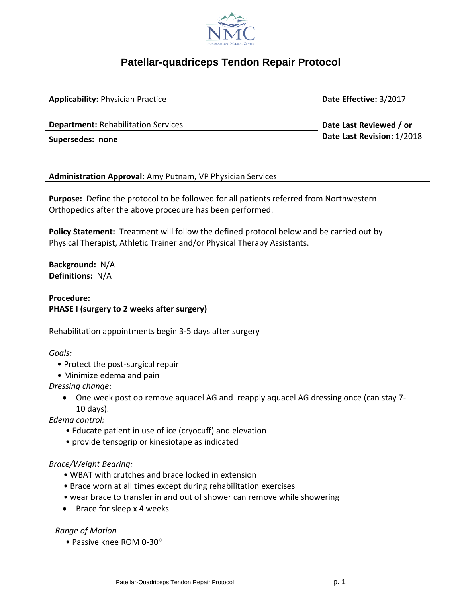

# **Patellar-quadriceps Tendon Repair Protocol**

| <b>Applicability: Physician Practice</b>                       | Date Effective: 3/2017                                |
|----------------------------------------------------------------|-------------------------------------------------------|
| <b>Department: Rehabilitation Services</b><br>Supersedes: none | Date Last Reviewed / or<br>Date Last Revision: 1/2018 |
| Administration Approval: Amy Putnam, VP Physician Services     |                                                       |

**Purpose:** Define the protocol to be followed for all patients referred from Northwestern Orthopedics after the above procedure has been performed.

**Policy Statement:** Treatment will follow the defined protocol below and be carried out by Physical Therapist, Athletic Trainer and/or Physical Therapy Assistants.

**Background:** N/A **Definitions:** N/A

**Procedure: PHASE I (surgery to 2 weeks after surgery)**

Rehabilitation appointments begin 3-5 days after surgery

*Goals:*

- Protect the post-surgical repair
- Minimize edema and pain

*Dressing change*:

 One week post op remove aquacel AG and reapply aquacel AG dressing once (can stay 7- 10 days).

*Edema control:*

- Educate patient in use of ice (cryocuff) and elevation
- provide tensogrip or kinesiotape as indicated

#### *Brace/Weight Bearing:*

- WBAT with crutches and brace locked in extension
- Brace worn at all times except during rehabilitation exercises
- wear brace to transfer in and out of shower can remove while showering
- $\bullet$  Brace for sleep x 4 weeks

*Range of Motion*

• Passive knee ROM 0-30°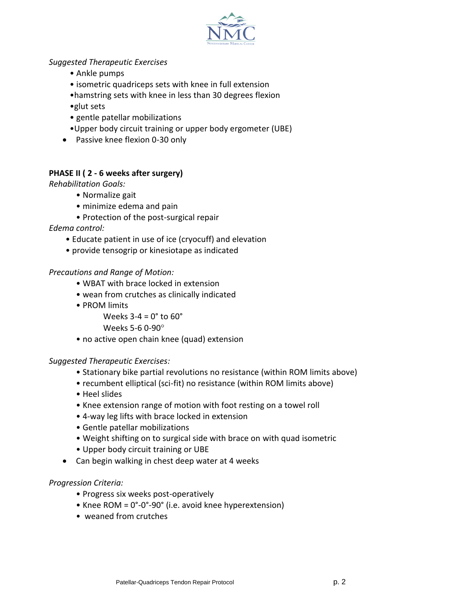

#### *Suggested Therapeutic Exercises*

- Ankle pumps
- isometric quadriceps sets with knee in full extension
- •hamstring sets with knee in less than 30 degrees flexion
- •glut sets
- gentle patellar mobilizations
- •Upper body circuit training or upper body ergometer (UBE)
- Passive knee flexion 0-30 only

#### **PHASE II ( 2 - 6 weeks after surgery)**

*Rehabilitation Goals:*

- Normalize gait
- minimize edema and pain
- Protection of the post-surgical repair

*Edema control:*

- Educate patient in use of ice (cryocuff) and elevation
- provide tensogrip or kinesiotape as indicated

#### *Precautions and Range of Motion:*

- WBAT with brace locked in extension
- wean from crutches as clinically indicated
- PROM limits

Weeks  $3-4 = 0^\circ$  to  $60^\circ$ 

Weeks 5-6 0-90

• no active open chain knee (quad) extension

#### *Suggested Therapeutic Exercises:*

- Stationary bike partial revolutions no resistance (within ROM limits above)
- recumbent elliptical (sci-fit) no resistance (within ROM limits above)
- Heel slides
- Knee extension range of motion with foot resting on a towel roll
- 4-way leg lifts with brace locked in extension
- Gentle patellar mobilizations
- Weight shifting on to surgical side with brace on with quad isometric
- Upper body circuit training or UBE
- Can begin walking in chest deep water at 4 weeks

#### *Progression Criteria:*

- Progress six weeks post-operatively
- Knee ROM = 0°-0°-90° (i.e. avoid knee hyperextension)
- weaned from crutches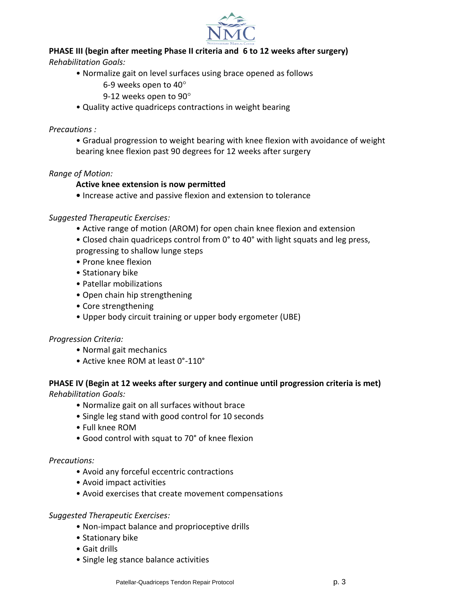

### **PHASE III (begin after meeting Phase II criteria and 6 to 12 weeks after surgery)**

*Rehabilitation Goals:*

- Normalize gait on level surfaces using brace opened as follows
	- 6-9 weeks open to 40
	- 9-12 weeks open to 90
- Quality active quadriceps contractions in weight bearing

#### *Precautions :*

• Gradual progression to weight bearing with knee flexion with avoidance of weight bearing knee flexion past 90 degrees for 12 weeks after surgery

#### *Range of Motion:*

#### **Active knee extension is now permitted**

**•** Increase active and passive flexion and extension to tolerance

#### *Suggested Therapeutic Exercises:*

- Active range of motion (AROM) for open chain knee flexion and extension
- Closed chain quadriceps control from 0° to 40° with light squats and leg press,

progressing to shallow lunge steps

- Prone knee flexion
- Stationary bike
- Patellar mobilizations
- Open chain hip strengthening
- Core strengthening
- Upper body circuit training or upper body ergometer (UBE)

#### *Progression Criteria:*

- Normal gait mechanics
- Active knee ROM at least 0°-110°

# **PHASE IV (Begin at 12 weeks after surgery and continue until progression criteria is met)**

*Rehabilitation Goals:*

- Normalize gait on all surfaces without brace
- Single leg stand with good control for 10 seconds
- Full knee ROM
- Good control with squat to 70° of knee flexion

#### *Precautions:*

- Avoid any forceful eccentric contractions
- Avoid impact activities
- Avoid exercises that create movement compensations

#### *Suggested Therapeutic Exercises:*

- Non-impact balance and proprioceptive drills
- Stationary bike
- Gait drills
- Single leg stance balance activities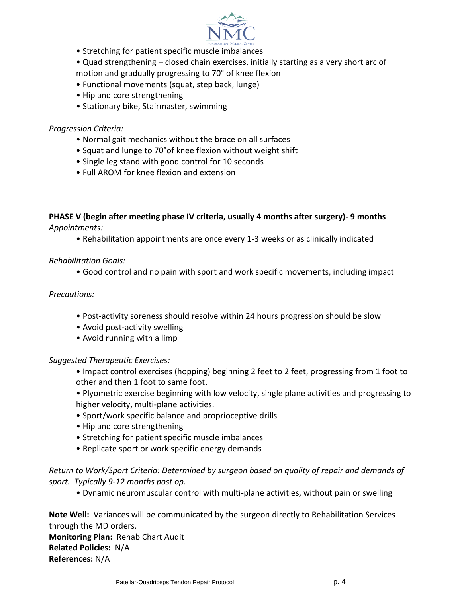

- Stretching for patient specific muscle imbalances
- Quad strengthening closed chain exercises, initially starting as a very short arc of
- motion and gradually progressing to 70° of knee flexion
- Functional movements (squat, step back, lunge)
- Hip and core strengthening
- Stationary bike, Stairmaster, swimming

#### *Progression Criteria:*

- Normal gait mechanics without the brace on all surfaces
- Squat and lunge to 70°of knee flexion without weight shift
- Single leg stand with good control for 10 seconds
- Full AROM for knee flexion and extension

**PHASE V (begin after meeting phase IV criteria, usually 4 months after surgery)- 9 months** *Appointments:*

• Rehabilitation appointments are once every 1-3 weeks or as clinically indicated

### *Rehabilitation Goals:*

• Good control and no pain with sport and work specific movements, including impact

## *Precautions:*

- Post-activity soreness should resolve within 24 hours progression should be slow
- Avoid post-activity swelling
- Avoid running with a limp

*Suggested Therapeutic Exercises:*

- Impact control exercises (hopping) beginning 2 feet to 2 feet, progressing from 1 foot to other and then 1 foot to same foot.
- Plyometric exercise beginning with low velocity, single plane activities and progressing to higher velocity, multi-plane activities.
- Sport/work specific balance and proprioceptive drills
- Hip and core strengthening
- Stretching for patient specific muscle imbalances
- Replicate sport or work specific energy demands

*Return to Work/Sport Criteria: Determined by surgeon based on quality of repair and demands of sport. Typically 9-12 months post op.*

• Dynamic neuromuscular control with multi-plane activities, without pain or swelling

**Note Well:** Variances will be communicated by the surgeon directly to Rehabilitation Services through the MD orders.

**Monitoring Plan:** Rehab Chart Audit **Related Policies:** N/A **References:** N/A